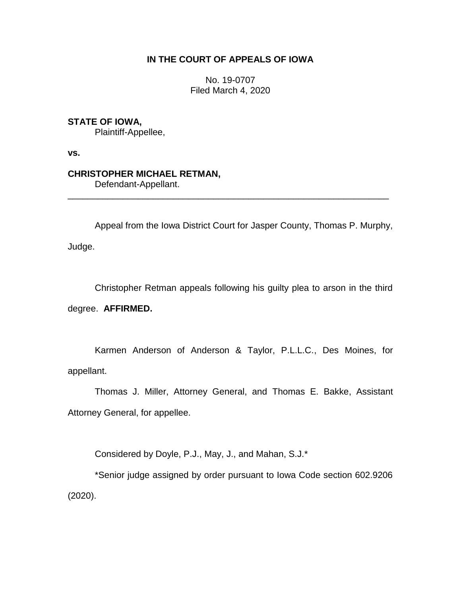# **IN THE COURT OF APPEALS OF IOWA**

No. 19-0707 Filed March 4, 2020

# **STATE OF IOWA,**

Plaintiff-Appellee,

**vs.**

## **CHRISTOPHER MICHAEL RETMAN,**

Defendant-Appellant.

Appeal from the Iowa District Court for Jasper County, Thomas P. Murphy, Judge.

\_\_\_\_\_\_\_\_\_\_\_\_\_\_\_\_\_\_\_\_\_\_\_\_\_\_\_\_\_\_\_\_\_\_\_\_\_\_\_\_\_\_\_\_\_\_\_\_\_\_\_\_\_\_\_\_\_\_\_\_\_\_\_\_

Christopher Retman appeals following his guilty plea to arson in the third degree. **AFFIRMED.**

Karmen Anderson of Anderson & Taylor, P.L.L.C., Des Moines, for appellant.

Thomas J. Miller, Attorney General, and Thomas E. Bakke, Assistant Attorney General, for appellee.

Considered by Doyle, P.J., May, J., and Mahan, S.J.\*

\*Senior judge assigned by order pursuant to Iowa Code section 602.9206 (2020).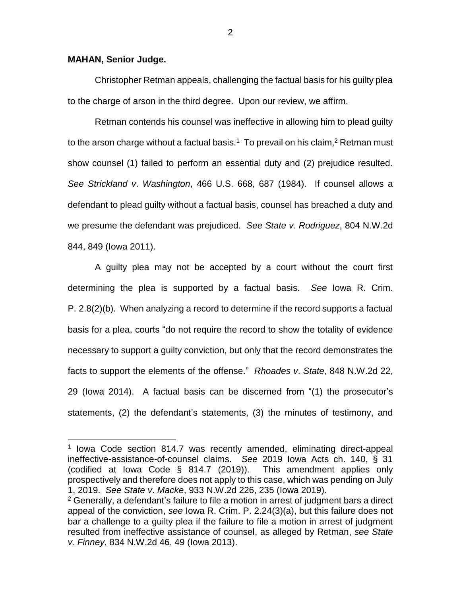#### **MAHAN, Senior Judge.**

 $\overline{a}$ 

Christopher Retman appeals, challenging the factual basis for his guilty plea to the charge of arson in the third degree. Upon our review, we affirm.

Retman contends his counsel was ineffective in allowing him to plead guilty to the arson charge without a factual basis.<sup>1</sup> To prevail on his claim,<sup>2</sup> Retman must show counsel (1) failed to perform an essential duty and (2) prejudice resulted. *See Strickland v*. *Washington*, 466 U.S. 668, 687 (1984). If counsel allows a defendant to plead guilty without a factual basis, counsel has breached a duty and we presume the defendant was prejudiced. *See State v*. *Rodriguez*, 804 N.W.2d 844, 849 (Iowa 2011).

A guilty plea may not be accepted by a court without the court first determining the plea is supported by a factual basis. *See* Iowa R. Crim. P. 2.8(2)(b). When analyzing a record to determine if the record supports a factual basis for a plea, courts "do not require the record to show the totality of evidence necessary to support a guilty conviction, but only that the record demonstrates the facts to support the elements of the offense." *Rhoades v*. *State*, 848 N.W.2d 22, 29 (Iowa 2014). A factual basis can be discerned from "(1) the prosecutor's statements, (2) the defendant's statements, (3) the minutes of testimony, and

2

<sup>&</sup>lt;sup>1</sup> Iowa Code section 814.7 was recently amended, eliminating direct-appeal ineffective-assistance-of-counsel claims. *See* 2019 Iowa Acts ch. 140, § 31 (codified at Iowa Code § 814.7 (2019)). This amendment applies only prospectively and therefore does not apply to this case, which was pending on July 1, 2019. *See State v*. *Macke*, 933 N.W.2d 226, 235 (Iowa 2019).

 $2$  Generally, a defendant's failure to file a motion in arrest of judgment bars a direct appeal of the conviction, *see* Iowa R. Crim. P. 2.24(3)(a), but this failure does not bar a challenge to a guilty plea if the failure to file a motion in arrest of judgment resulted from ineffective assistance of counsel, as alleged by Retman, *see State v. Finney*, 834 N.W.2d 46, 49 (Iowa 2013).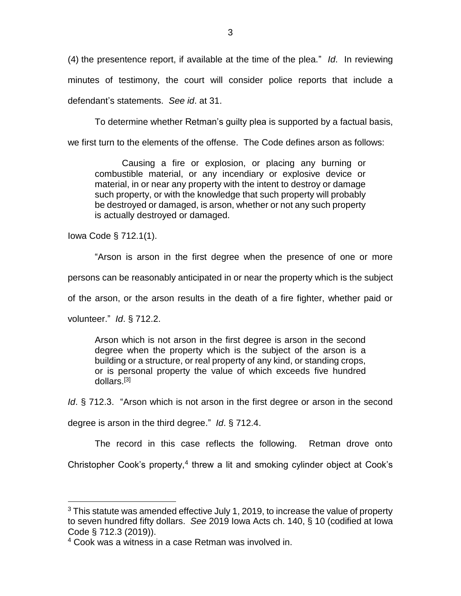(4) the presentence report, if available at the time of the plea." *Id*. In reviewing minutes of testimony, the court will consider police reports that include a defendant's statements. *See id*. at 31.

To determine whether Retman's guilty plea is supported by a factual basis, we first turn to the elements of the offense. The Code defines arson as follows:

Causing a fire or explosion, or placing any burning or combustible material, or any incendiary or explosive device or material, in or near any property with the intent to destroy or damage such property, or with the knowledge that such property will probably be destroyed or damaged, is arson, whether or not any such property is actually destroyed or damaged.

Iowa Code § 712.1(1).

"Arson is arson in the first degree when the presence of one or more

persons can be reasonably anticipated in or near the property which is the subject

of the arson, or the arson results in the death of a fire fighter, whether paid or

volunteer." *Id*. § 712.2.

 $\overline{a}$ 

Arson which is not arson in the first degree is arson in the second degree when the property which is the subject of the arson is a building or a structure, or real property of any kind, or standing crops, or is personal property the value of which exceeds five hundred dollars.[3]

*Id*. § 712.3. "Arson which is not arson in the first degree or arson in the second

degree is arson in the third degree." *Id*. § 712.4.

The record in this case reflects the following. Retman drove onto

Christopher Cook's property,<sup>4</sup> threw a lit and smoking cylinder object at Cook's

 $3$  This statute was amended effective July 1, 2019, to increase the value of property to seven hundred fifty dollars. *See* 2019 Iowa Acts ch. 140, § 10 (codified at Iowa Code § 712.3 (2019)).

<sup>4</sup> Cook was a witness in a case Retman was involved in.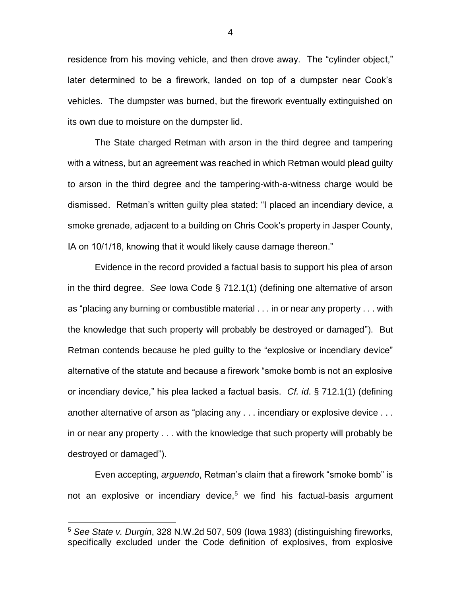residence from his moving vehicle, and then drove away. The "cylinder object," later determined to be a firework, landed on top of a dumpster near Cook's vehicles. The dumpster was burned, but the firework eventually extinguished on its own due to moisture on the dumpster lid.

The State charged Retman with arson in the third degree and tampering with a witness, but an agreement was reached in which Retman would plead guilty to arson in the third degree and the tampering-with-a-witness charge would be dismissed. Retman's written guilty plea stated: "I placed an incendiary device, a smoke grenade, adjacent to a building on Chris Cook's property in Jasper County, IA on 10/1/18, knowing that it would likely cause damage thereon."

Evidence in the record provided a factual basis to support his plea of arson in the third degree. *See* Iowa Code § 712.1(1) (defining one alternative of arson as "placing any burning or combustible material . . . in or near any property . . . with the knowledge that such property will probably be destroyed or damaged"). But Retman contends because he pled guilty to the "explosive or incendiary device" alternative of the statute and because a firework "smoke bomb is not an explosive or incendiary device," his plea lacked a factual basis. *Cf. id*. § 712.1(1) (defining another alternative of arson as "placing any . . . incendiary or explosive device . . . in or near any property . . . with the knowledge that such property will probably be destroyed or damaged").

Even accepting, *arguendo*, Retman's claim that a firework "smoke bomb" is not an explosive or incendiary device,<sup>5</sup> we find his factual-basis argument

 $\overline{a}$ 

<sup>5</sup> *See State v. Durgin*, 328 N.W.2d 507, 509 (Iowa 1983) (distinguishing fireworks, specifically excluded under the Code definition of explosives, from explosive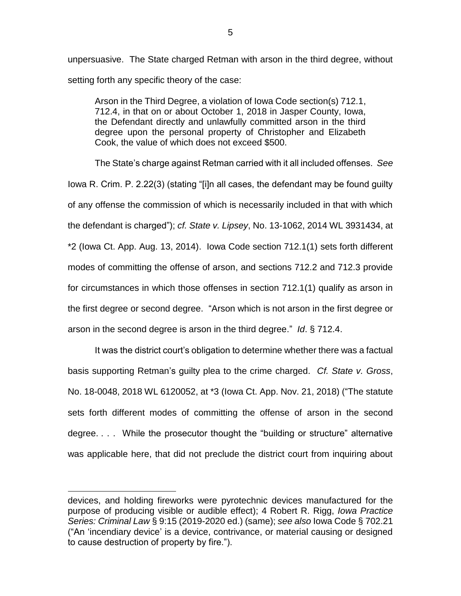unpersuasive. The State charged Retman with arson in the third degree, without setting forth any specific theory of the case:

Arson in the Third Degree, a violation of Iowa Code section(s) 712.1, 712.4, in that on or about October 1, 2018 in Jasper County, Iowa, the Defendant directly and unlawfully committed arson in the third degree upon the personal property of Christopher and Elizabeth Cook, the value of which does not exceed \$500.

The State's charge against Retman carried with it all included offenses. *See*  Iowa R. Crim. P. 2.22(3) (stating "[i]n all cases, the defendant may be found guilty of any offense the commission of which is necessarily included in that with which the defendant is charged"); *cf. State v. Lipsey*, No. 13-1062, 2014 WL 3931434, at \*2 (Iowa Ct. App. Aug. 13, 2014). Iowa Code section 712.1(1) sets forth different modes of committing the offense of arson, and sections 712.2 and 712.3 provide for circumstances in which those offenses in section 712.1(1) qualify as arson in the first degree or second degree. "Arson which is not arson in the first degree or arson in the second degree is arson in the third degree." *Id*. § 712.4.

It was the district court's obligation to determine whether there was a factual basis supporting Retman's guilty plea to the crime charged. *Cf. State v. Gross*, No. 18-0048, 2018 WL 6120052, at \*3 (Iowa Ct. App. Nov. 21, 2018) ("The statute sets forth different modes of committing the offense of arson in the second degree. . . . While the prosecutor thought the "building or structure" alternative was applicable here, that did not preclude the district court from inquiring about

 $\overline{a}$ 

devices, and holding fireworks were pyrotechnic devices manufactured for the purpose of producing visible or audible effect); 4 Robert R. Rigg, *Iowa Practice Series: Criminal Law* § 9:15 (2019-2020 ed.) (same); *see also* Iowa Code § 702.21 ("An 'incendiary device' is a device, contrivance, or material causing or designed to cause destruction of property by fire.").